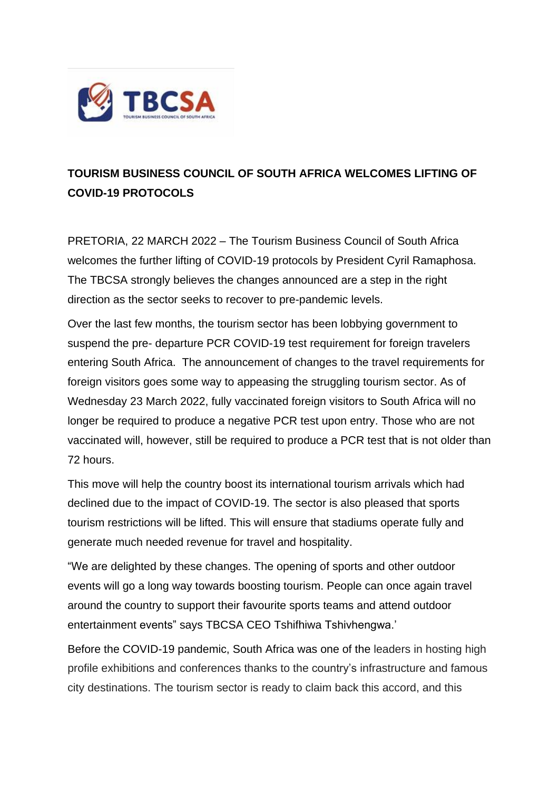

## **TOURISM BUSINESS COUNCIL OF SOUTH AFRICA WELCOMES LIFTING OF COVID-19 PROTOCOLS**

PRETORIA, 22 MARCH 2022 – The Tourism Business Council of South Africa welcomes the further lifting of COVID-19 protocols by President Cyril Ramaphosa. The TBCSA strongly believes the changes announced are a step in the right direction as the sector seeks to recover to pre-pandemic levels.

Over the last few months, the tourism sector has been lobbying government to suspend the pre- departure PCR COVID-19 test requirement for foreign travelers entering South Africa. The announcement of changes to the travel requirements for foreign visitors goes some way to appeasing the struggling tourism sector. As of Wednesday 23 March 2022, fully vaccinated foreign visitors to South Africa will no longer be required to produce a negative PCR test upon entry. Those who are not vaccinated will, however, still be required to produce a PCR test that is not older than 72 hours.

This move will help the country boost its international tourism arrivals which had declined due to the impact of COVID-19. The sector is also pleased that sports tourism restrictions will be lifted. This will ensure that stadiums operate fully and generate much needed revenue for travel and hospitality.

"We are delighted by these changes. The opening of sports and other outdoor events will go a long way towards boosting tourism. People can once again travel around the country to support their favourite sports teams and attend outdoor entertainment events" says TBCSA CEO Tshifhiwa Tshivhengwa.'

Before the COVID-19 pandemic, South Africa was one of the leaders in hosting high profile exhibitions and conferences thanks to the country's infrastructure and famous city destinations. The tourism sector is ready to claim back this accord, and this